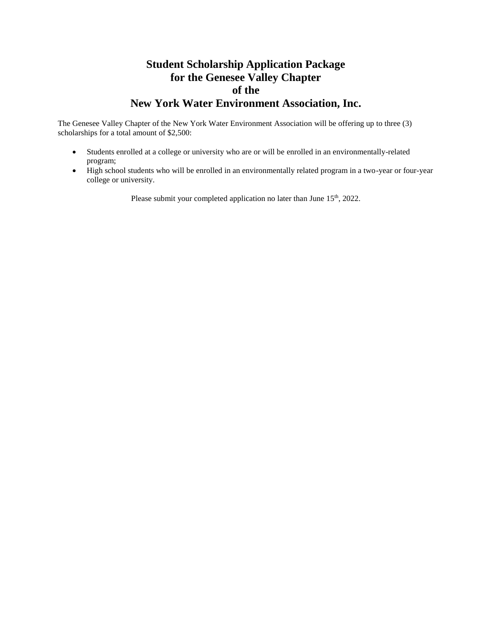# **Student Scholarship Application Package for the Genesee Valley Chapter of the New York Water Environment Association, Inc.**

The Genesee Valley Chapter of the New York Water Environment Association will be offering up to three (3) scholarships for a total amount of \$2,500:

- Students enrolled at a college or university who are or will be enrolled in an environmentally-related program;
- High school students who will be enrolled in an environmentally related program in a two-year or four-year college or university.

Please submit your completed application no later than June 15<sup>th</sup>, 2022.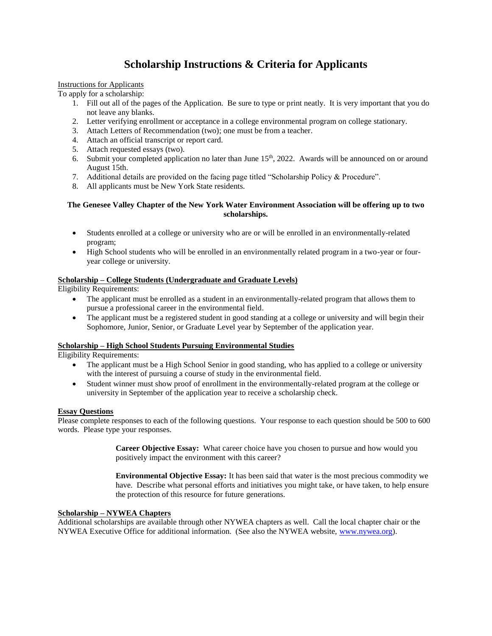# **Scholarship Instructions & Criteria for Applicants**

## Instructions for Applicants

To apply for a scholarship:

- 1. Fill out all of the pages of the Application. Be sure to type or print neatly. It is very important that you do not leave any blanks.
- 2. Letter verifying enrollment or acceptance in a college environmental program on college stationary.
- 3. Attach Letters of Recommendation (two); one must be from a teacher.
- 4. Attach an official transcript or report card.
- 5. Attach requested essays (two).
- 6. Submit your completed application no later than June  $15<sup>th</sup>$ , 2022. Awards will be announced on or around August 15th.
- 7. Additional details are provided on the facing page titled "Scholarship Policy & Procedure".
- 8. All applicants must be New York State residents.

## **The Genesee Valley Chapter of the New York Water Environment Association will be offering up to two scholarships.**

- Students enrolled at a college or university who are or will be enrolled in an environmentally-related program;
- High School students who will be enrolled in an environmentally related program in a two-year or fouryear college or university.

## **Scholarship – College Students (Undergraduate and Graduate Levels)**

Eligibility Requirements:

- The applicant must be enrolled as a student in an environmentally-related program that allows them to pursue a professional career in the environmental field.
- The applicant must be a registered student in good standing at a college or university and will begin their Sophomore, Junior, Senior, or Graduate Level year by September of the application year.

## **Scholarship – High School Students Pursuing Environmental Studies**

Eligibility Requirements:

- The applicant must be a High School Senior in good standing, who has applied to a college or university with the interest of pursuing a course of study in the environmental field.
- Student winner must show proof of enrollment in the environmentally-related program at the college or university in September of the application year to receive a scholarship check.

## **Essay Questions**

Please complete responses to each of the following questions. Your response to each question should be 500 to 600 words. Please type your responses.

> **Career Objective Essay:** What career choice have you chosen to pursue and how would you positively impact the environment with this career?

**Environmental Objective Essay:** It has been said that water is the most precious commodity we have. Describe what personal efforts and initiatives you might take, or have taken, to help ensure the protection of this resource for future generations.

## **Scholarship – NYWEA Chapters**

Additional scholarships are available through other NYWEA chapters as well. Call the local chapter chair or the NYWEA Executive Office for additional information. (See also the NYWEA website, [www.nywea.org\)](http://www.nywea.org/).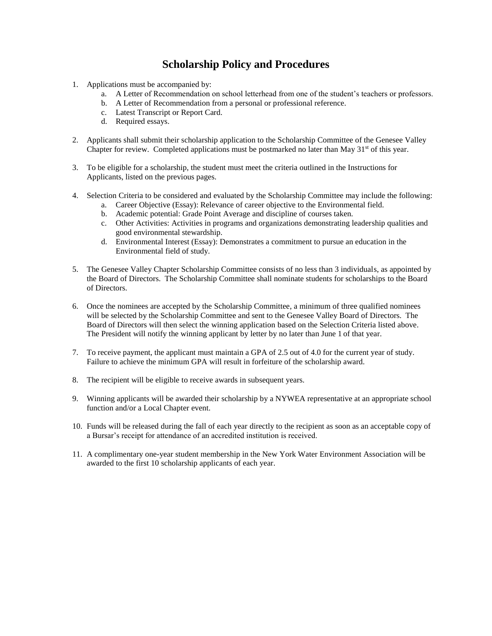## **Scholarship Policy and Procedures**

- 1. Applications must be accompanied by:
	- a. A Letter of Recommendation on school letterhead from one of the student's teachers or professors.
	- b. A Letter of Recommendation from a personal or professional reference.
	- c. Latest Transcript or Report Card.
	- d. Required essays.
- 2. Applicants shall submit their scholarship application to the Scholarship Committee of the Genesee Valley Chapter for review. Completed applications must be postmarked no later than May  $31<sup>st</sup>$  of this year.
- 3. To be eligible for a scholarship, the student must meet the criteria outlined in the Instructions for Applicants, listed on the previous pages.
- 4. Selection Criteria to be considered and evaluated by the Scholarship Committee may include the following:
	- a. Career Objective (Essay): Relevance of career objective to the Environmental field.
	- b. Academic potential: Grade Point Average and discipline of courses taken.
	- c. Other Activities: Activities in programs and organizations demonstrating leadership qualities and good environmental stewardship.
	- d. Environmental Interest (Essay): Demonstrates a commitment to pursue an education in the Environmental field of study.
- 5. The Genesee Valley Chapter Scholarship Committee consists of no less than 3 individuals, as appointed by the Board of Directors. The Scholarship Committee shall nominate students for scholarships to the Board of Directors.
- 6. Once the nominees are accepted by the Scholarship Committee, a minimum of three qualified nominees will be selected by the Scholarship Committee and sent to the Genesee Valley Board of Directors. The Board of Directors will then select the winning application based on the Selection Criteria listed above. The President will notify the winning applicant by letter by no later than June 1 of that year.
- 7. To receive payment, the applicant must maintain a GPA of 2.5 out of 4.0 for the current year of study. Failure to achieve the minimum GPA will result in forfeiture of the scholarship award.
- 8. The recipient will be eligible to receive awards in subsequent years.
- 9. Winning applicants will be awarded their scholarship by a NYWEA representative at an appropriate school function and/or a Local Chapter event.
- 10. Funds will be released during the fall of each year directly to the recipient as soon as an acceptable copy of a Bursar's receipt for attendance of an accredited institution is received.
- 11. A complimentary one-year student membership in the New York Water Environment Association will be awarded to the first 10 scholarship applicants of each year.